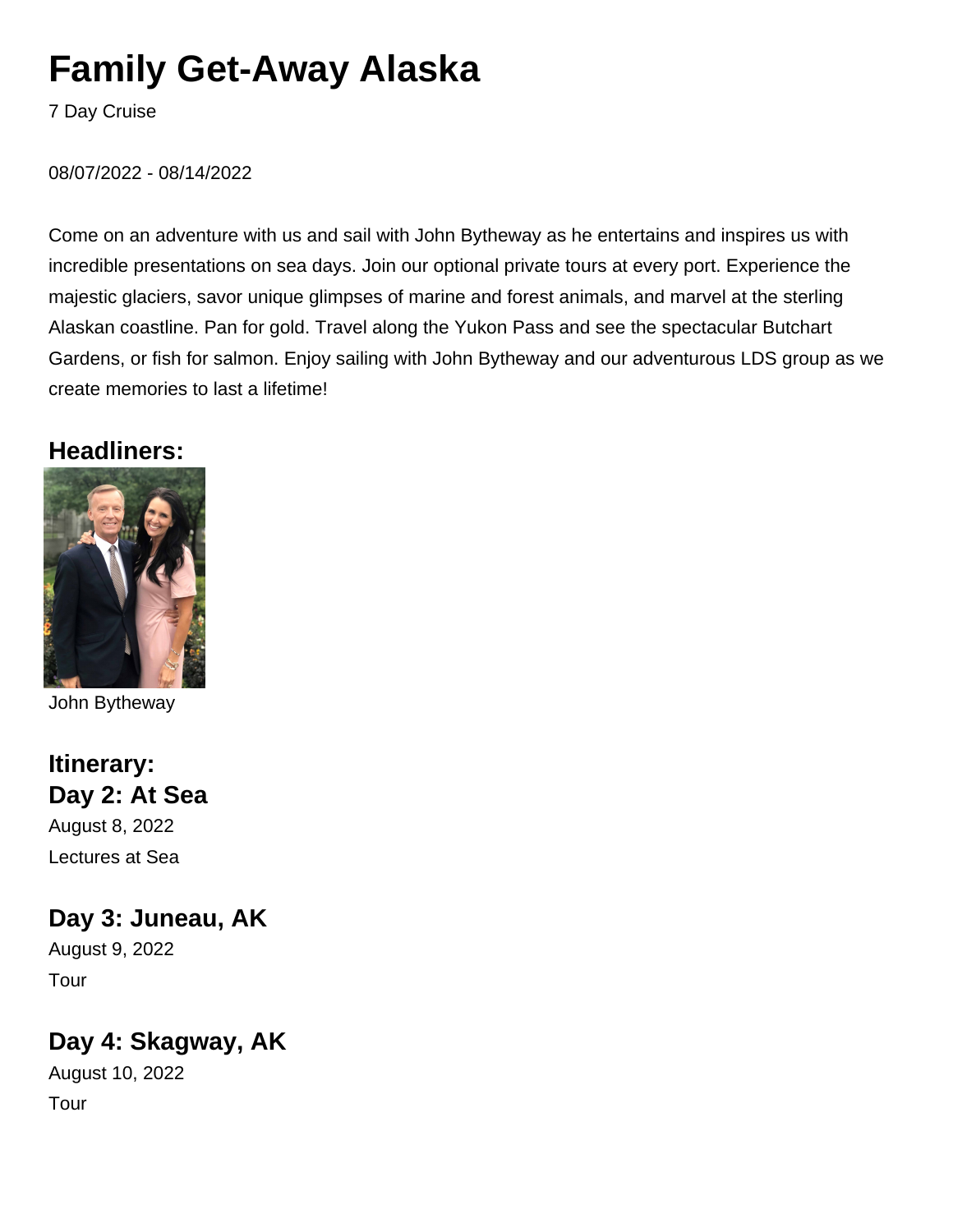# **Family Get-Away Alaska**

7 Day Cruise

08/07/2022 - 08/14/2022

Come on an adventure with us and sail with John Bytheway as he entertains and inspires us with incredible presentations on sea days. Join our optional private tours at every port. Experience the majestic glaciers, savor unique glimpses of marine and forest animals, and marvel at the sterling Alaskan coastline. Pan for gold. Travel along the Yukon Pass and see the spectacular Butchart Gardens, or fish for salmon. Enjoy sailing with John Bytheway and our adventurous LDS group as we create memories to last a lifetime!

#### **Headliners:**



John Bytheway

#### **Itinerary: Day 2: At Sea**

August 8, 2022 Lectures at Sea

#### **Day 3: Juneau, AK**

August 9, 2022 Tour

## **Day 4: Skagway, AK**

August 10, 2022 Tour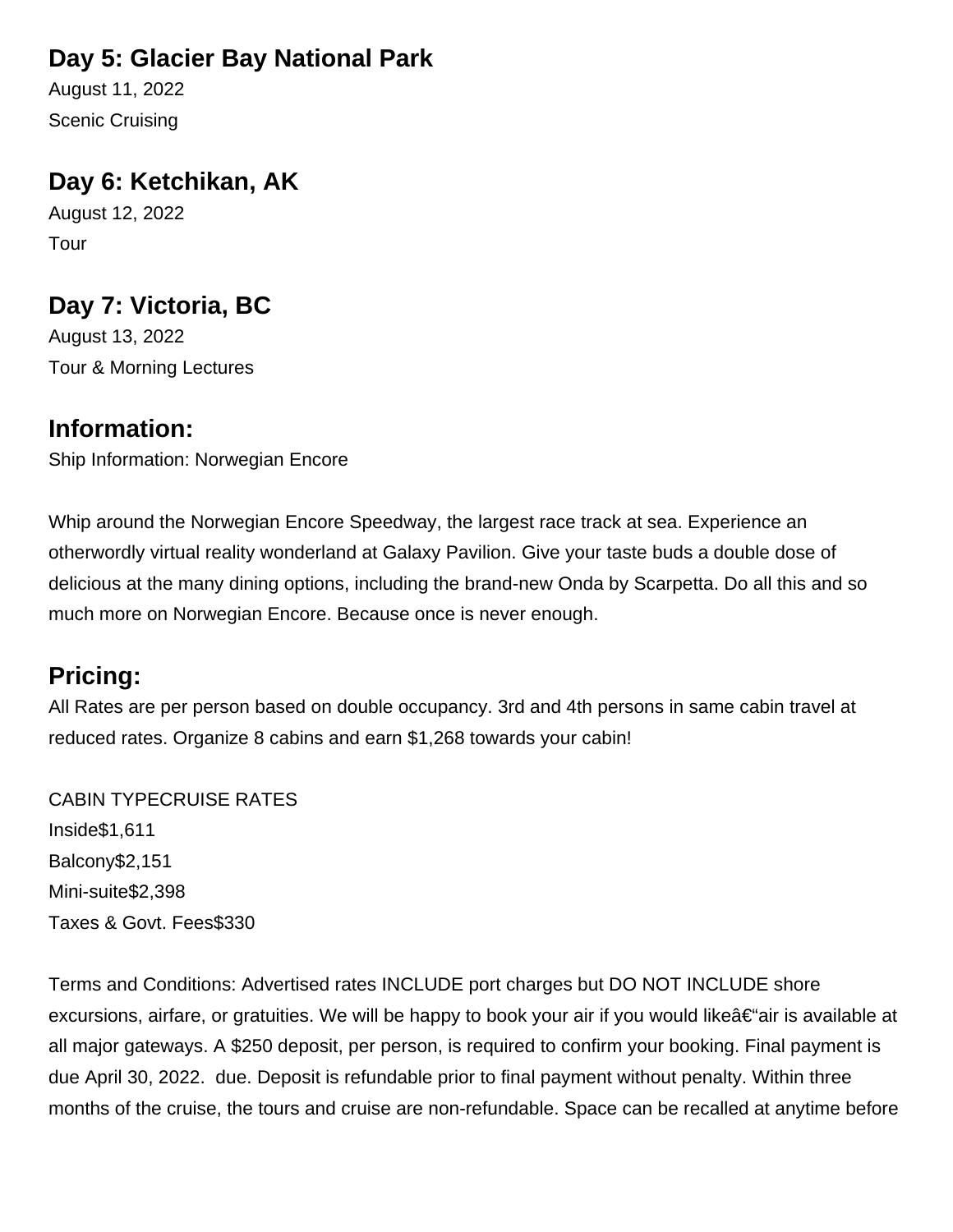## **Day 5: Glacier Bay National Park**

August 11, 2022 Scenic Cruising

## **Day 6: Ketchikan, AK**

August 12, 2022 Tour

## **Day 7: Victoria, BC**

August 13, 2022 Tour & Morning Lectures

#### **Information:**

Ship Information: Norwegian Encore

Whip around the Norwegian Encore Speedway, the largest race track at sea. Experience an otherwordly virtual reality wonderland at Galaxy Pavilion. Give your taste buds a double dose of delicious at the many dining options, including the brand-new Onda by Scarpetta. Do all this and so much more on Norwegian Encore. Because once is never enough.

## **Pricing:**

All Rates are per person based on double occupancy. 3rd and 4th persons in same cabin travel at reduced rates. Organize 8 cabins and earn \$1,268 towards your cabin!

**CABIN TYPE CRUISE RATES** Inside \$1,611 Balcony \$2,151 Mini-suite \$2,398 Taxes & Govt. Fees \$330

Terms and Conditions: Advertised rates INCLUDE port charges but DO NOT INCLUDE shore excursions, airfare, or gratuities. We will be happy to book your air if you would like $\hat{a} \in \hat{a}$ ir is available at all major gateways. A \$250 deposit, per person, is required to confirm your booking. Final payment is due April 30, 2022. due. Deposit is refundable prior to final payment without penalty. Within three months of the cruise, the tours and cruise are non-refundable. Space can be recalled at anytime before